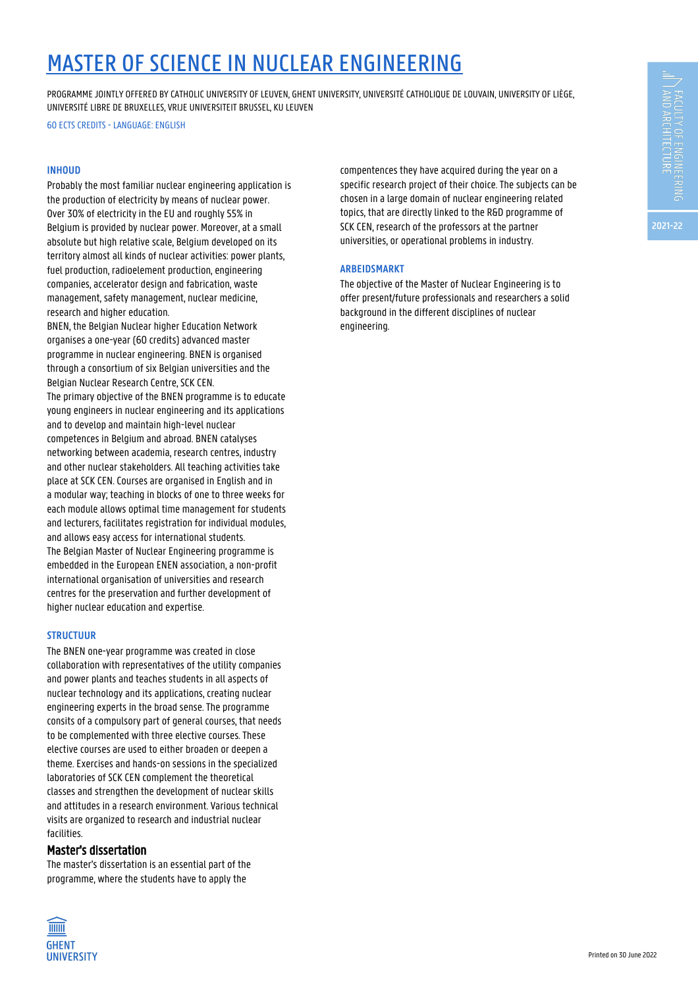# MASTER OF SCIENCE IN NUCLEAR ENGINEERING

PROGRAMME JOINTLY OFFERED BY CATHOLIC UNIVERSITY OF LEUVEN, GHENT UNIVERSITY, UNIVERSITÉ CATHOLIQUE DE LOUVAIN, UNIVERSITY OF LIÈGE, UNIVERSITÉ LIBRE DE BRUXELLES, VRIJE UNIVERSITEIT BRUSSEL, KU LEUVEN

60 ECTS CREDITS - LANGUAGE: ENGLISH

#### **INHOUD**

Probably the most familiar nuclear engineering application is the production of electricity by means of nuclear power. Over 30% of electricity in the EU and roughly 55% in Belgium is provided by nuclear power. Moreover, at a small absolute but high relative scale, Belgium developed on its territory almost all kinds of nuclear activities: power plants, fuel production, radioelement production, engineering companies, accelerator design and fabrication, waste management, safety management, nuclear medicine, research and higher education.

BNEN, the Belgian Nuclear higher Education Network organises a one-year (60 credits) advanced master programme in nuclear engineering. BNEN is organised through a consortium of six Belgian universities and the Belgian Nuclear Research Centre, SCK CEN. The primary objective of the BNEN programme is to educate young engineers in nuclear engineering and its applications and to develop and maintain high-level nuclear competences in Belgium and abroad. BNEN catalyses networking between academia, research centres, industry and other nuclear stakeholders. All teaching activities take place at SCK CEN. Courses are organised in English and in a modular way; teaching in blocks of one to three weeks for each module allows optimal time management for students and lecturers, facilitates registration for individual modules, and allows easy access for international students. The Belgian Master of Nuclear Engineering programme is embedded in the European ENEN association, a non-profit international organisation of universities and research centres for the preservation and further development of higher nuclear education and expertise.

## **STRUCTUUR**

The BNEN one-year programme was created in close collaboration with representatives of the utility companies and power plants and teaches students in all aspects of nuclear technology and its applications, creating nuclear engineering experts in the broad sense. The programme consits of a compulsory part of general courses, that needs to be complemented with three elective courses. These elective courses are used to either broaden or deepen a theme. Exercises and hands-on sessions in the specialized laboratories of SCK CEN complement the theoretical classes and strengthen the development of nuclear skills and attitudes in a research environment. Various technical visits are organized to research and industrial nuclear facilities.

# Master's dissertation

The master's dissertation is an essential part of the programme, where the students have to apply the



compentences they have acquired during the year on a specific research project of their choice. The subjects can be chosen in a large domain of nuclear engineering related topics, that are directly linked to the R&D programme of SCK CEN, research of the professors at the partner universities, or operational problems in industry.

## **ARBEIDSMARKT**

The objective of the Master of Nuclear Engineering is to offer present/future professionals and researchers a solid background in the different disciplines of nuclear engineering.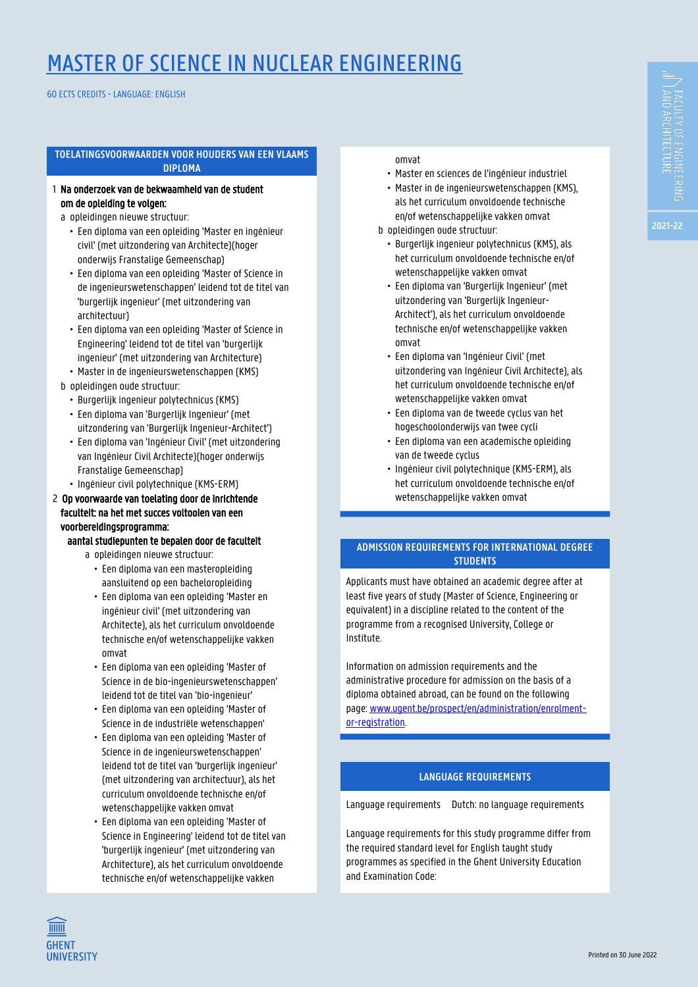# **FACULTY OF ENGINEERING<br>| AND ARCHITECTURE**

**2021-22**

# MASTER OF SCIENCE IN NUCLEAR ENGINEERING

60 ECTS CREDITS - LANGUAGE: ENGLISH

# **TOELATINGSVOORWAARDEN VOOR HOUDERS VAN EEN VLAAMS DIPLOMA**

- 1 Na onderzoek van de bekwaamheid van de student om de opleiding te volgen:
	- a opleidingen nieuwe structuur:
		- Een diploma van een opleiding 'Master en ingénieur civil' (met uitzondering van Architecte)(hoger onderwijs Franstalige Gemeenschap)
		- Een diploma van een opleiding 'Master of Science in de ingenieurswetenschappen' leidend tot de titel van 'burgerlijk ingenieur' (met uitzondering van architectuur)
		- Fen diploma van een opleiding 'Master of Science in Engineering' leidend tot de titel van 'burgerlijk ingenieur' (met uitzondering van Architecture) • Master in de ingenieurswetenschappen (KMS)
	- b opleidingen oude structuur:
		- Burgerlijk ingenieur polytechnicus (KMS)
		- Een diploma van 'Burgerlijk Ingenieur' (met uitzondering van 'Burgerlijk Ingenieur-Architect')
		- Een diploma van 'Ingénieur Civil' (met uitzondering van Ingénieur Civil Architecte)(hoger onderwijs Franstalige Gemeenschap)
		- Ingénieur civil polytechnique (KMS-ERM)

# 2 Op voorwaarde van toelating door de inrichtende 1 faculteit: na het met succes voltooien van een 1 voorbereidingsprogramma:

# aantal studiepunten te bepalen door de faculteit

- a opleidingen nieuwe structuur:
	- Een diploma van een masteropleiding aansluitend op een bacheloropleiding
	- Een diploma van een opleiding 'Master en ingénieur civil' (met uitzondering van Architecte), als het curriculum onvoldoende technische en/of wetenschappelijke vakken omvat
	- Een diploma van een opleiding 'Master of Science in de bio-ingenieurswetenschappen' leidend tot de titel van 'bio-ingenieur'
	- Een diploma van een opleiding 'Master of Science in de industriële wetenschappen'
	- Een diploma van een opleiding 'Master of Science in de ingenieurswetenschappen' leidend tot de titel van 'burgerlijk ingenieur' (met uitzondering van architectuur), als het curriculum onvoldoende technische en/of wetenschappelijke vakken omvat
	- Een diploma van een opleiding 'Master of Science in Engineering' leidend tot de titel van 'burgerlijk ingenieur' (met uitzondering van Architecture), als het curriculum onvoldoende technische en/of wetenschappelijke vakken

1 none a • omvat

- Master en sciences de l'ingénieur industriel
- Master in de ingenieurswetenschappen (KMS), als het curriculum onvoldoende technische en/of wetenschappelijke vakken omvat
- b opleidingen oude structuur:
	- Burgerlijk ingenieur polytechnicus (KMS), als het curriculum onvoldoende technische en/of wetenschappelijke vakken omvat
	- Een diploma van 'Burgerlijk Ingenieur' (met uitzondering van 'Burgerlijk Ingenieur-Architect'), als het curriculum onvoldoende technische en/of wetenschappelijke vakken 1 none a • omvat
	- Een diploma van 'Ingénieur Civil' (met uitzondering van Ingénieur Civil Architecte), als het curriculum onvoldoende technische en/of wetenschappelijke vakken omvat
	- Een diploma van de tweede cyclus van het hogeschoolonderwijs van twee cycli
	- Een diploma van een academische opleiding van de tweede cyclus
	- Ingénieur civil polytechnique (KMS-ERM), als het curriculum onvoldoende technische en/of wetenschappelijke vakken omvat

# **ADMISSION REQUIREMENTS FOR INTERNATIONAL DEGREE STUDENTS**

Applicants must have obtained an academic degree after at least five years of study (Master of Science, Engineering or equivalent) in a discipline related to the content of the programme from a recognised University, College or Institute.

Information on admission requirements and the administrative procedure for admission on the basis of a diploma obtained abroad, can be found on the following page: [www.ugent.be/prospect/en/administration/enrolment](https://www.ugent.be/prospect/en/administration/enrolment-or-registration)[or-registration](https://www.ugent.be/prospect/en/administration/enrolment-or-registration).

# **LANGUAGE REQUIREMENTS**

Language requirements Dutch: no language requirements

Language requirements for this study programme differ from the required standard level for English taught study programmes as specified in the Ghent University Education and Examination Code:

**TITTITI GHENT UNIVERSITY**